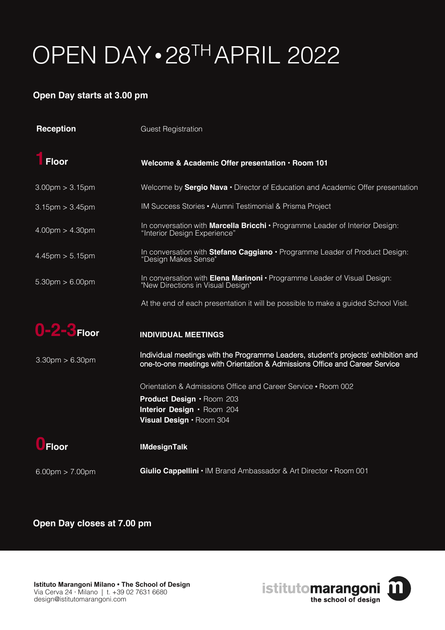# OPEN DAY•28TH APRIL 2022

### **Open Day starts at 3.00 pm**

| <b>Reception</b>                  | <b>Guest Registration</b>                                                                                                                                         |
|-----------------------------------|-------------------------------------------------------------------------------------------------------------------------------------------------------------------|
| <b>Floor</b>                      | Welcome & Academic Offer presentation · Room 101                                                                                                                  |
| $3.00 \text{pm} > 3.15 \text{pm}$ | Welcome by <b>Sergio Nava</b> • Director of Education and Academic Offer presentation                                                                             |
| $3.15 \text{pm} > 3.45 \text{pm}$ | IM Success Stories • Alumni Testimonial & Prisma Project                                                                                                          |
| $4.00 \text{pm} > 4.30 \text{pm}$ | In conversation with Marcella Bricchi · Programme Leader of Interior Design:<br>"Interior Design Experience"                                                      |
| $4.45 \text{pm} > 5.15 \text{pm}$ | In conversation with <b>Stefano Caggiano</b> $\cdot$ Programme Leader of Product Design:<br>"Design Makes Sense"                                                  |
| $5.30 \text{pm} > 6.00 \text{pm}$ | In conversation with Elena Marinoni • Programme Leader of Visual Design:<br>"New Directions in Visual Design"                                                     |
|                                   | At the end of each presentation it will be possible to make a guided School Visit.                                                                                |
| 0-2-3 Floor                       | <b>INDIVIDUAL MEETINGS</b>                                                                                                                                        |
| $3.30 \text{pm} > 6.30 \text{pm}$ | Individual meetings with the Programme Leaders, student's projects' exhibition and<br>one-to-one meetings with Orientation & Admissions Office and Career Service |
|                                   | Orientation & Admissions Office and Career Service • Room 002<br>Product Design · Room 203<br>Interior Design · Room 204<br>Visual Design · Room 304              |
| Floor                             | <b>IMdesignTalk</b>                                                                                                                                               |
| $6.00 \text{pm} > 7.00 \text{pm}$ | Giulio Cappellini · IM Brand Ambassador & Art Director · Room 001                                                                                                 |

#### **Open Day closes at 7.00 pm**